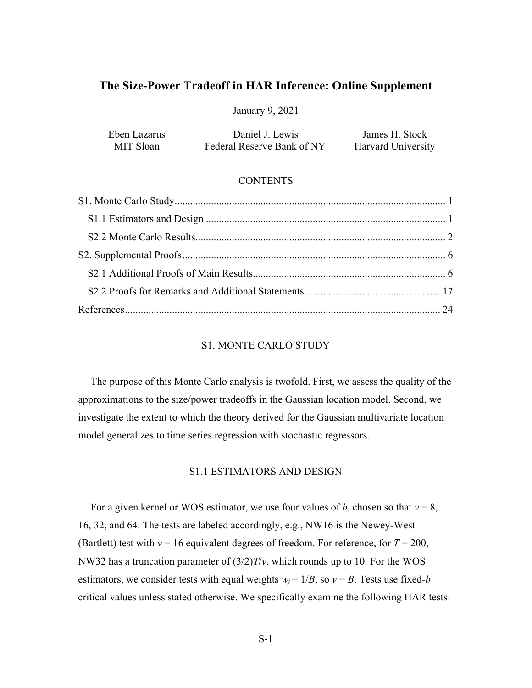# **The Size-Power Tradeoff in HAR Inference: Online Supplement**

January 9, 2021

| Eben Lazarus | Daniel J. Lewis            | James H. Stock     |
|--------------|----------------------------|--------------------|
| MIT Sloan    | Federal Reserve Bank of NY | Harvard University |

# **CONTENTS**

# S1. MONTE CARLO STUDY

<span id="page-0-0"></span>The purpose of this Monte Carlo analysis is twofold. First, we assess the quality of the approximations to the size/power tradeoffs in the Gaussian location model. Second, we investigate the extent to which the theory derived for the Gaussian multivariate location model generalizes to time series regression with stochastic regressors.

# S1.1 ESTIMATORS AND DESIGN

<span id="page-0-2"></span><span id="page-0-1"></span>For a given kernel or WOS estimator, we use four values of *b*, chosen so that *ν* = 8, 16, 32, and 64. The tests are labeled accordingly, e.g., NW16 is the Newey-West (Bartlett) test with  $v = 16$  equivalent degrees of freedom. For reference, for  $T = 200$ , NW32 has a truncation parameter of (3/2)*T*/*ν*, which rounds up to 10. For the WOS estimators, we consider tests with equal weights  $w_i = 1/B$ , so  $v = B$ . Tests use fixed-*b* critical values unless stated otherwise. We specifically examine the following HAR tests: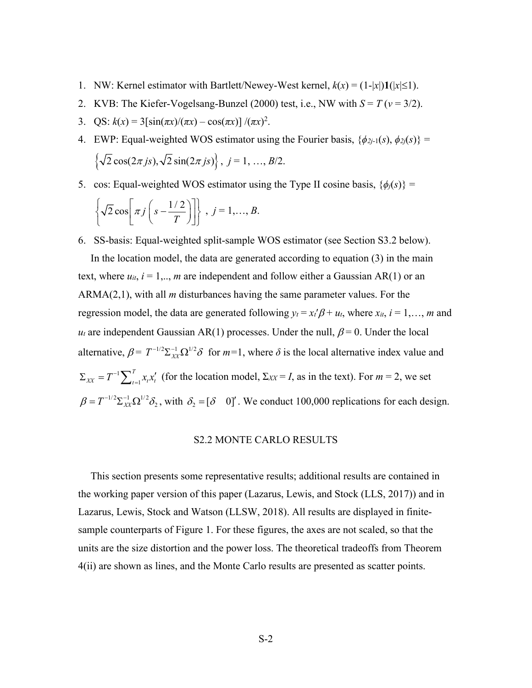- 1. NW: Kernel estimator with Bartlett/Newey-West kernel,  $k(x) = (1-|x|)\mathbf{1}(|x| \le 1)$ .
- 2. KVB: The Kiefer-Vogelsang-Bunzel (2000) test, i.e., NW with  $S = T(v = 3/2)$ .
- 3. QS:  $k(x) = 3[\sin(\pi x)/(\pi x) \cos(\pi x)] /(\pi x)^2$ .
- 4. EWP: Equal-weighted WOS estimator using the Fourier basis,  $\{\phi_{2j-1}(s), \phi_{2j}(s)\}$  =  $\left\{\sqrt{2}\cos(2\pi j s), \sqrt{2}\sin(2\pi j s)\right\}, j = 1, ..., B/2.$
- 5. cos: Equal-weighted WOS estimator using the Type II cosine basis,  $\{\phi_i(s)\}$  =

$$
\left\{\sqrt{2}\cos\left(\pi j\left(s-\frac{1/2}{T}\right)\right)\right\},\ j=1,\ldots,B.
$$

6. SS-basis: Equal-weighted split-sample WOS estimator (see Section S3.2 below).

In the location model, the data are generated according to equation (3) in the main text, where  $u_{it}$ ,  $i = 1, \ldots, m$  are independent and follow either a Gaussian AR(1) or an ARMA(2,1), with all *m* disturbances having the same parameter values. For the regression model, the data are generated following  $y_t = x_t' \beta + u_t$ , where  $x_{it}$ ,  $i = 1,..., m$  and  $u_t$  are independent Gaussian AR(1) processes. Under the null,  $\beta = 0$ . Under the local alternative,  $\beta = T^{-1/2} \sum_{XX} \Omega^{1/2} \delta$  for  $m=1$ , where  $\delta$  is the local alternative index value and 1  $\Sigma_{XX} = T^{-1} \sum_{t=1}^{T} x_t x_t'$  (for the location model,  $\Sigma_{XX} = I$ , as in the text). For  $m = 2$ , we set 1  $\beta = T^{-1/2} \Sigma_{XX}^{-1} \Omega^{1/2} \delta_2$ , with  $\delta_2 = [\delta \ 0]$ . We conduct 100,000 replications for each design.

# S2.2 MONTE CARLO RESULTS

<span id="page-1-0"></span>This section presents some representative results; additional results are contained in the working paper version of this paper (Lazarus, Lewis, and Stock (LLS, 2017)) and in Lazarus, Lewis, Stock and Watson (LLSW, 2018). All results are displayed in finitesample counterparts of Figure 1. For these figures, the axes are not scaled, so that the units are the size distortion and the power loss. The theoretical tradeoffs from Theorem 4(ii) are shown as lines, and the Monte Carlo results are presented as scatter points.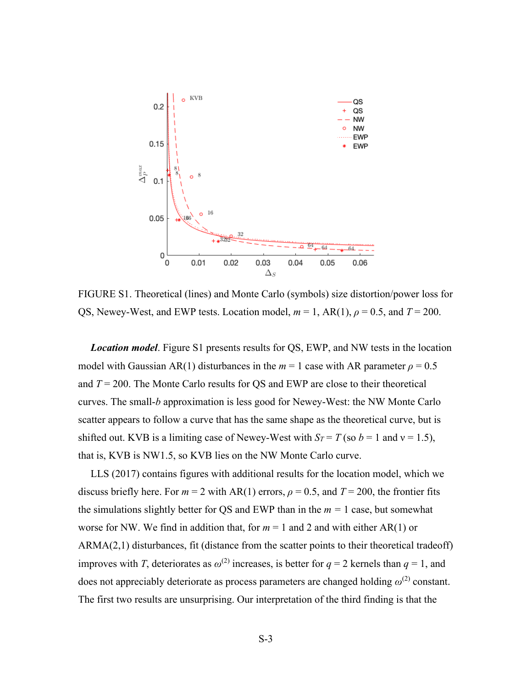

FIGURE S1. Theoretical (lines) and Monte Carlo (symbols) size distortion/power loss for QS, Newey-West, and EWP tests. Location model,  $m = 1$ , AR(1),  $\rho = 0.5$ , and  $T = 200$ .

*Location model*. Figure S1 presents results for QS, EWP, and NW tests in the location model with Gaussian AR(1) disturbances in the  $m = 1$  case with AR parameter  $\rho = 0.5$ and  $T = 200$ . The Monte Carlo results for QS and EWP are close to their theoretical curves. The small-*b* approximation is less good for Newey-West: the NW Monte Carlo scatter appears to follow a curve that has the same shape as the theoretical curve, but is shifted out. KVB is a limiting case of Newey-West with  $S_T = T$  (so  $b = 1$  and  $v = 1.5$ ), that is, KVB is NW1.5, so KVB lies on the NW Monte Carlo curve.

LLS (2017) contains figures with additional results for the location model, which we discuss briefly here. For  $m = 2$  with AR(1) errors,  $\rho = 0.5$ , and  $T = 200$ , the frontier fits the simulations slightly better for QS and EWP than in the  $m = 1$  case, but somewhat worse for NW. We find in addition that, for  $m = 1$  and 2 and with either AR(1) or ARMA(2,1) disturbances, fit (distance from the scatter points to their theoretical tradeoff) improves with *T*, deteriorates as  $\omega^{(2)}$  increases, is better for  $q = 2$  kernels than  $q = 1$ , and does not appreciably deteriorate as process parameters are changed holding  $\omega^{(2)}$  constant. The first two results are unsurprising. Our interpretation of the third finding is that the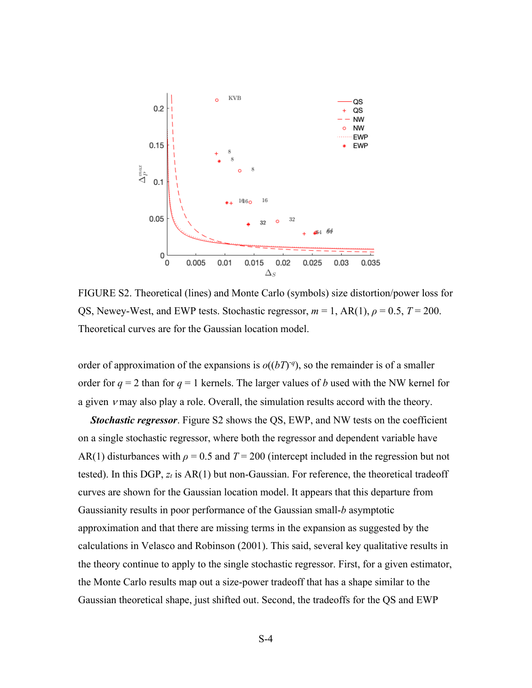

FIGURE S2. Theoretical (lines) and Monte Carlo (symbols) size distortion/power loss for QS, Newey-West, and EWP tests. Stochastic regressor,  $m = 1$ , AR(1),  $\rho = 0.5$ ,  $T = 200$ . Theoretical curves are for the Gaussian location model.

order of approximation of the expansions is  $o((bT)^{q})$ , so the remainder is of a smaller order for  $q = 2$  than for  $q = 1$  kernels. The larger values of *b* used with the NW kernel for a given  $\nu$  may also play a role. Overall, the simulation results accord with the theory.

*Stochastic regressor*. Figure S2 shows the QS, EWP, and NW tests on the coefficient on a single stochastic regressor, where both the regressor and dependent variable have AR(1) disturbances with  $\rho = 0.5$  and  $T = 200$  (intercept included in the regression but not tested). In this DGP, *zt* is AR(1) but non-Gaussian. For reference, the theoretical tradeoff curves are shown for the Gaussian location model. It appears that this departure from Gaussianity results in poor performance of the Gaussian small-*b* asymptotic approximation and that there are missing terms in the expansion as suggested by the calculations in Velasco and Robinson (2001). This said, several key qualitative results in the theory continue to apply to the single stochastic regressor. First, for a given estimator, the Monte Carlo results map out a size-power tradeoff that has a shape similar to the Gaussian theoretical shape, just shifted out. Second, the tradeoffs for the QS and EWP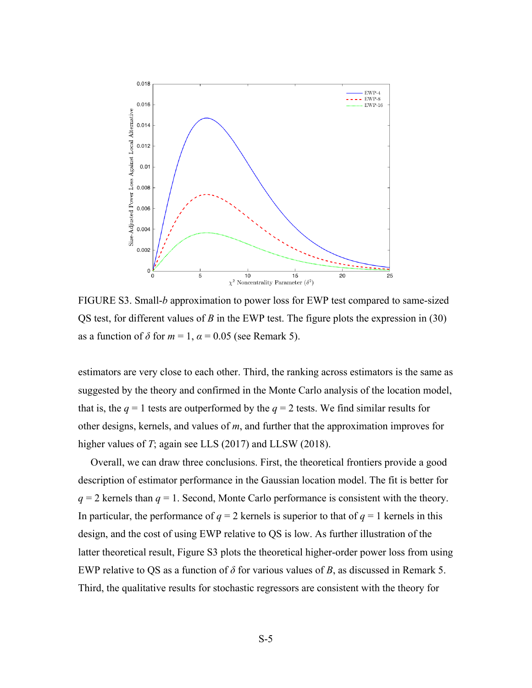

FIGURE S3. Small-*b* approximation to power loss for EWP test compared to same-sized QS test, for different values of *B* in the EWP test. The figure plots the expression in (30) as a function of  $\delta$  for  $m = 1$ ,  $\alpha = 0.05$  (see Remark 5).

estimators are very close to each other. Third, the ranking across estimators is the same as suggested by the theory and confirmed in the Monte Carlo analysis of the location model, that is, the  $q = 1$  tests are outperformed by the  $q = 2$  tests. We find similar results for other designs, kernels, and values of *m*, and further that the approximation improves for higher values of *T*; again see LLS (2017) and LLSW (2018).

Overall, we can draw three conclusions. First, the theoretical frontiers provide a good description of estimator performance in the Gaussian location model. The fit is better for  $q = 2$  kernels than  $q = 1$ . Second, Monte Carlo performance is consistent with the theory. In particular, the performance of  $q = 2$  kernels is superior to that of  $q = 1$  kernels in this design, and the cost of using EWP relative to QS is low. As further illustration of the latter theoretical result, Figure S3 plots the theoretical higher-order power loss from using EWP relative to QS as a function of *δ* for various values of *B*, as discussed in Remark 5. Third, the qualitative results for stochastic regressors are consistent with the theory for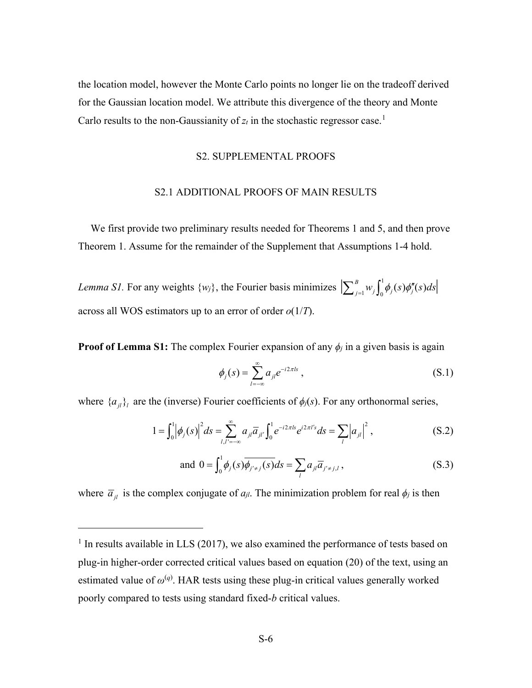<span id="page-5-0"></span>the location model, however the Monte Carlo points no longer lie on the tradeoff derived for the Gaussian location model. We attribute this divergence of the theory and Monte Carlo results to the non-Gaussianity of  $z_t$  in the stochastic regressor case.<sup>[1](#page-0-2)</sup>

# S2. SUPPLEMENTAL PROOFS

# S2.1 ADDITIONAL PROOFS OF MAIN RESULTS

<span id="page-5-1"></span>We first provide two preliminary results needed for Theorems 1 and 5, and then prove Theorem 1. Assume for the remainder of the Supplement that Assumptions 1-4 hold.

*Lemma S1*. For any weights  $\{w_j\}$ , the Fourier basis minimizes  $\left[\sum_{j=1}^D w_j\right]_0^T$  $\left| \sum_{j=1}^B w_j \int_0^1 \phi_j(s) \phi''_j(s) ds \right|$ across all WOS estimators up to an error of order *o*(1/*T*).

**Proof of Lemma S1:** The complex Fourier expansion of any  $\phi_j$  in a given basis is again

$$
\phi_j(s) = \sum_{l=-\infty}^{\infty} a_{jl} e^{-i2\pi ls}, \qquad (S.1)
$$

where  ${a_{jl}}_l$  are the (inverse) Fourier coefficients of  $\phi_j(s)$ . For any orthonormal series,

$$
1 = \int_0^1 \left| \phi_j(s) \right|^2 ds = \sum_{l,l'=-\infty}^{\infty} a_{jl} \overline{a}_{jl'} \int_0^1 e^{-i2\pi ls} e^{i2\pi ls} ds = \sum_l \left| a_{jl} \right|^2, \tag{S.2}
$$

and 
$$
0 = \int_0^1 \phi_j(s) \overline{\phi_{j' \neq j}(s)} ds = \sum_i a_{ji} \overline{a}_{j' \neq j, l}
$$
, (S.3)

where  $\overline{a}_{jl}$  is the complex conjugate of  $a_{jl}$ . The minimization problem for real  $\phi_j$  is then

 $1$  In results available in LLS (2017), we also examined the performance of tests based on plug-in higher-order corrected critical values based on equation (20) of the text, using an estimated value of  $\omega^{(q)}$ . HAR tests using these plug-in critical values generally worked poorly compared to tests using standard fixed-*b* critical values.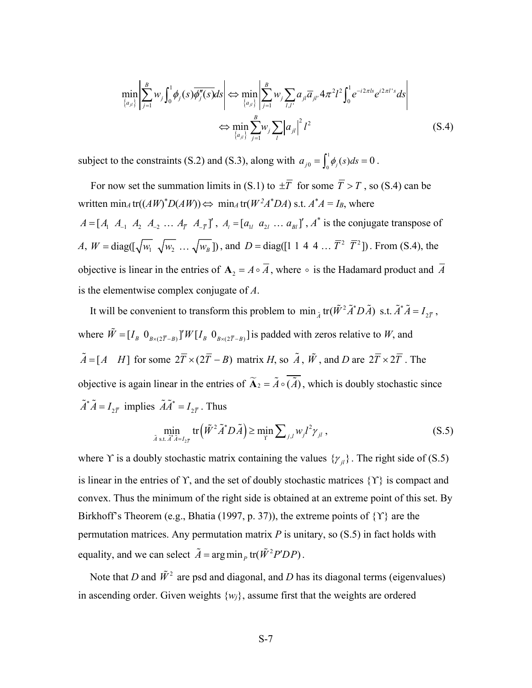$$
\min_{\{a_{jl}\}} \left| \sum_{j=1}^{B} w_j \int_0^1 \phi_j(s) \overline{\phi''_j(s)} ds \right| \Leftrightarrow \min_{\{a_{jl}\}} \left| \sum_{j=1}^{B} w_j \sum_{l,l'} a_{jl} \overline{a}_{jl'} 4 \pi^2 l^2 \int_0^1 e^{-i2\pi l s} e^{i2\pi l' s} ds \right|
$$
\n
$$
\Leftrightarrow \min_{\{a_{jl}\}} \sum_{j=1}^{B} w_j \sum_{l} |a_{jl}|^2 l^2
$$
\n(S.4)

subject to the constraints (S.2) and (S.3), along with  $a_{j0} = \int_0^1 \phi_j(s) ds = 0$ .

For now set the summation limits in (S.1) to  $\pm \overline{T}$  for some  $\overline{T} > T$ , so (S.4) can be written  $\min_A \text{tr}((AW)^*D(AW)) \Leftrightarrow \min_A \text{tr}(W^2A^*DA) \text{ s.t. } A^*A = I_B \text{, where}$  $A = [A_1 \ A_1 \ A_2 \ A_3 \ \ldots \ A_{\overline{T}} \ A_{-\overline{T}}]^T$ ,  $A_i = [a_{1i} \ a_{2i} \ \ldots \ a_{1j} \ T$ ,  $A^*$  is the conjugate transpose of *A*,  $W = \text{diag}([\sqrt{w_1} \sqrt{w_2} \dots \sqrt{w_B}])$ , and  $D = \text{diag}([1 \ 1 \ 4 \ 4 \dots \ \overline{T}^2 \ \overline{T}^2])$ . From (S.4), the objective is linear in the entries of  $A_2 = A \circ \overline{A}$ , where  $\circ$  is the Hadamard product and  $\overline{A}$ is the elementwise complex conjugate of *A*.

It will be convenient to transform this problem to  $\min_{\tilde{A}} tr(\tilde{W}^2 \tilde{A}^* D \tilde{A})$  s.t.  $\tilde{A}^* \tilde{A} = I_{2\bar{T}}$ , where  $\tilde{W} = [I_B \ 0_{B \times (2\overline{T} - B)}]'W[I_B \ 0_{B \times (2\overline{T} - B)}]$  is padded with zeros relative to *W*, and  $\tilde{A} = [A \ H]$  for some  $2\overline{T} \times (2\overline{T} - B)$  matrix *H*, so  $\tilde{A}$ ,  $\tilde{W}$ , and *D* are  $2\overline{T} \times 2\overline{T}$ . The objective is again linear in the entries of  $\widetilde{A}_2 = \widetilde{A} \circ \widetilde{A_2}$ , which is doubly stochastic since  $\tilde{A}^* \tilde{A} = I_{2\overline{T}}$  implies  $\tilde{A} \tilde{A}^* = I_{2\overline{T}}$ . Thus

$$
\min_{\tilde{A}\text{ s.t. }\tilde{A}^*\tilde{A}=I_{2\tilde{r}}} \text{tr}\left(\tilde{W}^2 \tilde{A}^* D \tilde{A}\right) \ge \min_{\Upsilon} \sum_{j,l} w_j l^2 \gamma_{jl} ,\qquad(S.5)
$$

where Y is a doubly stochastic matrix containing the values  $\{\gamma_{jl}\}$ . The right side of (S.5) is linear in the entries of Y, and the set of doubly stochastic matrices  $\{Y\}$  is compact and convex. Thus the minimum of the right side is obtained at an extreme point of this set. By Birkhoff's Theorem (e.g., Bhatia (1997, p. 37)), the extreme points of {ϒ} are the permutation matrices. Any permutation matrix *P* is unitary, so (S.5) in fact holds with equality, and we can select  $\tilde{A} = \arg \min_{p} \text{tr}(\tilde{W}^2 P' D P)$ .

Note that *D* and  $\tilde{W}^2$  are psd and diagonal, and *D* has its diagonal terms (eigenvalues) in ascending order. Given weights {*wj*}, assume first that the weights are ordered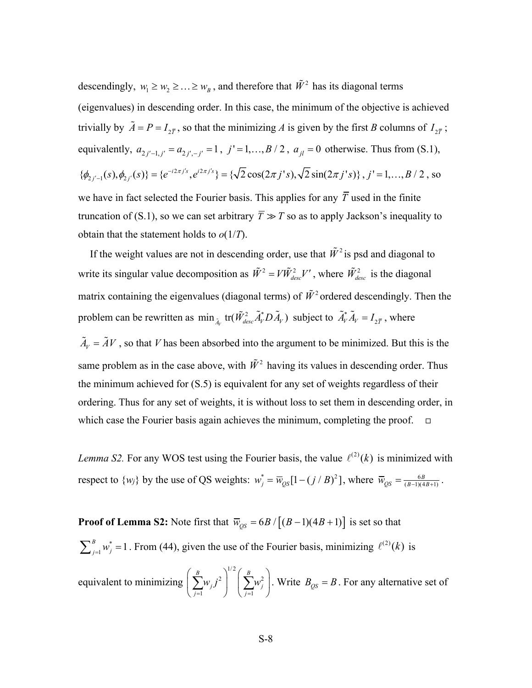descendingly,  $w_1 \geq w_2 \geq ... \geq w_B$ , and therefore that  $\tilde{W}^2$  has its diagonal terms (eigenvalues) in descending order. In this case, the minimum of the objective is achieved trivially by  $\tilde{A} = P = I_{2\bar{T}}$ , so that the minimizing *A* is given by the first *B* columns of  $I_{2\bar{T}}$ ; equivalently,  $a_{2j'-1,j'} = a_{2j',-j'} = 1$ ,  $j' = 1,..., B / 2$ ,  $a_{jl} = 0$  otherwise. Thus from (S.1),  $\{\phi_{2j'-1}(s), \phi_{2j'}(s)\} = \{e^{-i2\pi j's}, e^{i2\pi j's}\} = \{\sqrt{2}\cos(2\pi j's), \sqrt{2}\sin(2\pi j's)\}, j'=1,\ldots, B/2$ , so we have in fact selected the Fourier basis. This applies for any  $\overline{T}$  used in the finite truncation of (S.1), so we can set arbitrary  $\overline{T} \gg T$  so as to apply Jackson's inequality to obtain that the statement holds to *o*(1/*T*).

If the weight values are not in descending order, use that  $\tilde{W}^2$  is psd and diagonal to write its singular value decomposition as  $\tilde{W}^2 = V \tilde{W}^2_{desc} V'$ , where  $\tilde{W}^2_{desc}$  is the diagonal matrix containing the eigenvalues (diagonal terms) of  $\tilde{W}^2$  ordered descendingly. Then the problem can be rewritten as  $\min_{\tilde{A}_V} \text{tr}(\tilde{W}_{desc}^2 \tilde{A}_V^* D \tilde{A}_V)$  subject to  $\tilde{A}_V^* \tilde{A}_V = I_{2\bar{T}}$ , where

 $\tilde{A}_V = \tilde{A}V$ , so that *V* has been absorbed into the argument to be minimized. But this is the same problem as in the case above, with  $\tilde{W}^2$  having its values in descending order. Thus the minimum achieved for (S.5) is equivalent for any set of weights regardless of their ordering. Thus for any set of weights, it is without loss to set them in descending order, in which case the Fourier basis again achieves the minimum, completing the proof.  $\Box$ 

*Lemma S2.* For any WOS test using the Fourier basis, the value  $\ell^{(2)}(k)$  is minimized with respect to  $\{w_j\}$  by the use of QS weights:  $w_j^* = \overline{w}_{QS} [1 - (j / B)^2]$ , where  $\overline{w}_{QS} = \frac{6B}{(B-1)(4B+1)}$ .

**Proof of Lemma S2:** Note first that  $\overline{w}_{OS} = 6B / [(B-1)(4B+1)]$  is set so that \*  $\sum_{j=1}^{B} w_j^* = 1$ . From (44), given the use of the Fourier basis, minimizing  $\ell^{(2)}(k)$  is equivalent to minimizing 1/2 2 |  $\sum_{i=1}^{n}$ 1  $\bigcup$   $j=1$ *B*  $\bigcap^{P}$  *B*  $j$   $j$   $j$   $j$   $j$ *j* =1  $\bigcup$   $\bigcup$  *j*  $w_{i}j^{2}$  |  $\sum w_{i}$  $\left(\sum_{j=1}^B w_j j^2\right)^{1/2} \left(\sum_{j=1}^B w_j^2\right)$ . Write  $B_{QS} = B$ . For any alternative set of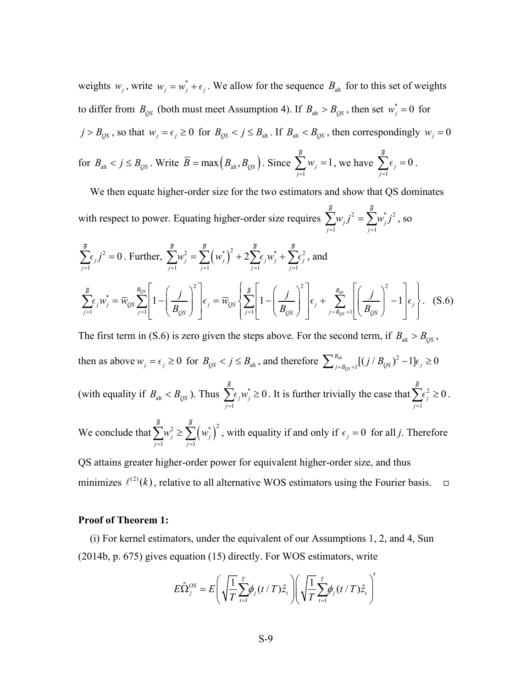weights  $w_i$ , write  $w_i = w_i^* + \epsilon_i$ . We allow for the sequence  $B_{\text{alt}}$  for to this set of weights to differ from  $B_{QS}$  (both must meet Assumption 4). If  $B_{alt} > B_{QS}$ , then set  $w_j^* = 0$  for  $j > B_{QS}$ , so that  $w_j = \epsilon_j \ge 0$  for  $B_{QS} < j \le B_{alt}$ . If  $B_{alt} < B_{QS}$ , then correspondingly  $w_j = 0$ for  $B_{\text{alt}} < j \leq B_{\text{QS}}$ . Write  $B = \max(B_{\text{alt}}, B_{\text{QS}})$ . Since 1 1 *B j j w*  $\sum_{j=1} w_j = 1$ , we have  $\sum_{j=1}^{\infty}$ 0 *B j*  $\sum_{j=1} \epsilon_j = 0$ .

We then equate higher-order size for the two estimators and show that QS dominates with respect to power. Equating higher-order size requires  $\sum w_{i,j}^{2} = \sum w_{i,j}^{2}$ 1  $j=1$ *B B*  $j$  *j*  $\sum_{j}^{N}$  $j=1$  *j*  $w_{i}j^{2} = \sum w_{i}^{*}j^{2}$  $\sum_{j=1}^N w_j j^2 = \sum_{j=1}^N w_j^* j^2$ , so

$$
\sum_{j=1}^{\overline{B}} \epsilon_j j^2 = 0. \text{ Further, } \sum_{j=1}^{\overline{B}} w_j^2 = \sum_{j=1}^{\overline{B}} \left( w_j^* \right)^2 + 2 \sum_{j=1}^{\overline{B}} \epsilon_j w_j^* + \sum_{j=1}^{\overline{B}} \epsilon_j^2, \text{ and}
$$
\n
$$
\sum_{j=1}^{\overline{B}} \epsilon_j w_j^* = \overline{w}_{\text{QS}} \sum_{j=1}^{B_{\text{QS}}} \left[ 1 - \left( \frac{j}{B_{\text{QS}}} \right)^2 \right] \epsilon_j = \overline{w}_{\text{QS}} \left\{ \sum_{j=1}^{\overline{B}} \left[ 1 - \left( \frac{j}{B_{\text{QS}}} \right)^2 \right] \epsilon_j + \sum_{j=B_{\text{QS}}+1}^{B_{\text{alt}}} \left[ \left( \frac{j}{B_{\text{QS}}} \right)^2 - 1 \right] \epsilon_j \right\}. \quad (S.6)
$$

The first term in (S.6) is zero given the steps above. For the second term, if  $B_{\text{alt}} > B_{\text{OS}}$ , then as above  $w_j = \epsilon_j \ge 0$  for  $B_{QS} < j \le B_{\text{alt}}$ , and therefore  $\sum_{j=B_{QS}+1}^{B_{\text{alt}}} [(j/B_{QS})^2 - 1] \epsilon_j \ge 0$  $\sum\nolimits_{j = B_{OS} + 1}^{B_{\mathrm{alt}}} [(j / B_{QS})^2 - 1] \epsilon_j \geq$ (with equality if  $B_{\text{alt}} < B_{\text{QS}}$ ). Thus  $\sum \epsilon_j w_j^*$ 1 0 *B j j j w*  $\sum_{j=1} \epsilon_j w_j^* \ge 0$ . It is further trivially the case that  $\sum_{j=1} \epsilon_j^2$ 0 *B j*  $\sum_{j=1} \epsilon_j^2 \geq 0$ . We conclude that  $\sum_{i=1}^{B} w_i^2 \geq \sum_{i=1}^{B} (w_i^*)^2$ 1  $j=1$ *B B j <sup>i</sup>* −∠\ <sup>*w*</sup>*j j j*  $w_i^2 \geq \sum_{i=1}^n w_i^2$  $\sum_{j=1} w_j^2 \ge \sum_{j=1} (w_j^*)^2$ , with equality if and only if  $\epsilon_j = 0$  for all *j*. Therefore

QS attains greater higher-order power for equivalent higher-order size, and thus minimizes  $\ell^{(2)}(k)$ , relative to all alternative WOS estimators using the Fourier basis.  $\Box$ 

#### **Proof of Theorem 1:**

(i) For kernel estimators, under the equivalent of our Assumptions 1, 2, and 4, Sun (2014b, p. 675) gives equation (15) directly. For WOS estimators, write

$$
E\hat{\Omega}_{j}^{OS} = E\left(\sqrt{\frac{1}{T}\sum_{t=1}^{T}\phi_{j}(t/T)\hat{z}_{t}}\right)\left(\sqrt{\frac{1}{T}\sum_{t=1}^{T}\phi_{j}(t/T)\hat{z}_{t}}\right)^{t}
$$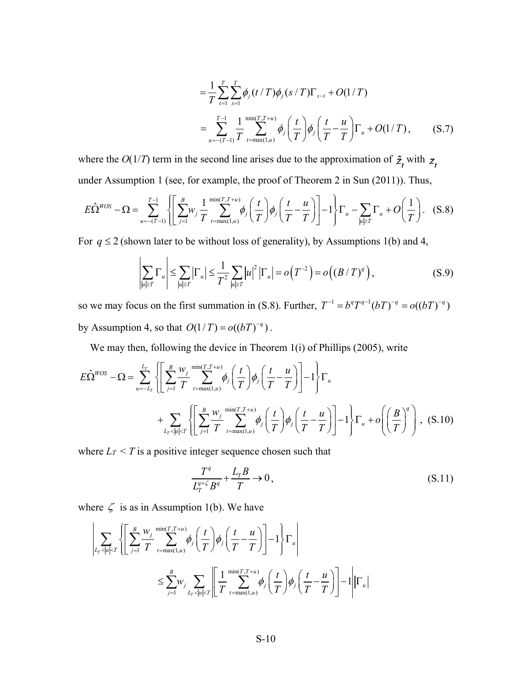$$
= \frac{1}{T} \sum_{t=1}^{T} \sum_{s=1}^{T} \phi_j(t/T) \phi_j(s/T) \Gamma_{s-t} + O(1/T)
$$
  
= 
$$
\sum_{u=-(T-1)}^{T-1} \frac{1}{T} \sum_{t=\max(1,u)}^{\min(T,T+u)} \phi_j\left(\frac{t}{T}\right) \phi_j\left(\frac{t}{T} - \frac{u}{T}\right) \Gamma_u + O(1/T), \quad (S.7)
$$

where the  $O(1/T)$  term in the second line arises due to the approximation of  $\hat{z}_t$  with  $z_t$ under Assumption 1 (see, for example, the proof of Theorem 2 in Sun (2011)). Thus,

$$
E\hat{\Omega}^{WOS} - \Omega = \sum_{u=-(T-1)}^{T-1} \left\{ \left[ \sum_{j=1}^{B} w_j \frac{1}{T} \sum_{t=\max(1,u)}^{\min(T,T+u)} \phi_j \left( \frac{t}{T} \right) \phi_j \left( \frac{t}{T} - \frac{u}{T} \right) \right] - 1 \right\} \Gamma_u - \sum_{|u| \ge T} \Gamma_u + O\left(\frac{1}{T}\right). \tag{S.8}
$$

For  $q \le 2$  (shown later to be without loss of generality), by Assumptions 1(b) and 4,

$$
\left|\sum_{|u|\geq T} \Gamma_u\right| \leq \sum_{|u|\geq T} \left|\Gamma_u\right| \leq \frac{1}{T^2} \sum_{|u|\geq T} |u|^2 \left|\Gamma_u\right| = o\left(T^{-2}\right) = o\left((B/T)^q\right),\tag{S.9}
$$

so we may focus on the first summation in (S.8). Further,  $T^{-1} = b^q T^{q-1} (bT)^{-q} = o((bT)^{-q})$ by Assumption 4, so that  $O(1/T) = o((bT)^{-q})$ .

We may then, following the device in Theorem 1(i) of Phillips (2005), write

$$
E\hat{\Omega}^{WOS} - \Omega = \sum_{u=-L_T}^{L_T} \left\{ \left[ \sum_{j=1}^B \frac{w_j}{T} \sum_{t=\max(1,u)}^{\min(T,T+u)} \phi_j \left( \frac{t}{T} \right) \phi_j \left( \frac{t}{T} - \frac{u}{T} \right) \right] - 1 \right\} \Gamma_u + \sum_{L_T < |u| < T} \left\{ \left[ \sum_{j=1}^B \frac{w_j}{T} \sum_{t=\max(1,u)}^{\min(T,T+u)} \phi_j \left( \frac{t}{T} \right) \phi_j \left( \frac{t}{T} - \frac{u}{T} \right) \right] - 1 \right\} \Gamma_u + o\left( \left( \frac{B}{T} \right)^q \right), \quad (S.10)
$$

where  $L_T < T$  is a positive integer sequence chosen such that

$$
\frac{T^q}{L_T^{q+\zeta}B^q} + \frac{L_T B}{T} \to 0, \tag{S.11}
$$

where  $\zeta$  is as in Assumption 1(b). We have

$$
\left|\sum_{L_T < |u| < T} \left\{ \left[ \sum_{j=1}^B \frac{w_j}{T} \sum_{t=\max(1,u)}^{\min(T,T+u)} \phi_j \left( \frac{t}{T} \right) \phi_j \left( \frac{t}{T} - \frac{u}{T} \right) \right] - 1 \right\} \Gamma_u \right|
$$
\n
$$
\leq \sum_{j=1}^B w_j \sum_{L_T < |u| < T} \left| \frac{1}{T} \sum_{t=\max(1,u)}^{\min(T,T+u)} \phi_j \left( \frac{t}{T} \right) \phi_j \left( \frac{t}{T} - \frac{u}{T} \right) \right] - 1 \left| \left| \Gamma_u \right| \right.
$$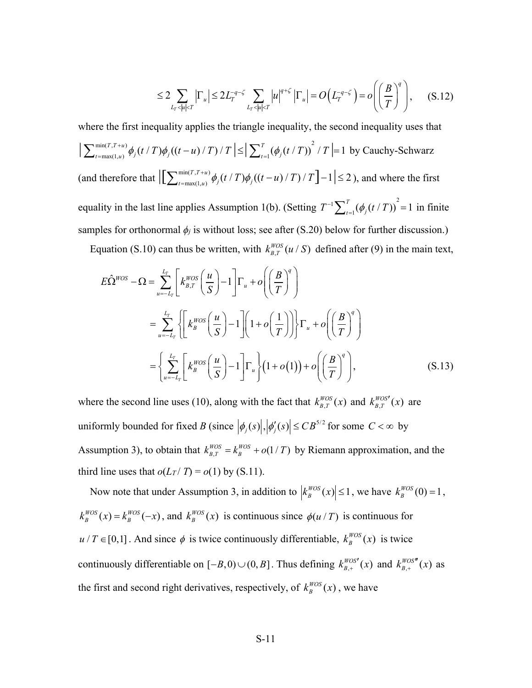$$
\leq 2\sum_{L_T < |u| < T} \left| \Gamma_u \right| \leq 2L_T^{-q-\zeta} \sum_{L_T < |u| < T} |u|^{q+\zeta} \left| \Gamma_u \right| = O\left(L_T^{-q-\zeta}\right) = o\left(\left(\frac{B}{T}\right)^q\right),\tag{S.12}
$$

where the first inequality applies the triangle inequality, the second inequality uses that  $\left| \sum_{t=\max(1,u)}^{\min(T,T+u)} \phi_j(t/T) \phi_j((t-u)/T)/T \right| \leq \left| \sum_{t=1}^T (\phi_j(t/T))^2 / T \right| = 1$  $\sum_{t=\max(1,u)}^{\min(T,T+u)} \phi_j(t/T) \phi_j((t-u)/T)/T \leq \Big| \sum_{t=1}^T (\phi_j(t/T))^2 / T \Big| = 1$  by Cauchy-Schwarz (and therefore that  $\left| \left[ \sum_{t=\max(1,u)}^{\min(T,T+u)} \phi_j(t/T) \phi_j((t-u)/T)/T \right] - 1 \right| \le 2$ ), and where the first equality in the last line applies Assumption 1(b). (Setting  $T^{-1} \sum_{t=1}^{T} (\phi_j(t/T))^2 = 1$  in finite samples for orthonormal  $\phi$ *j* is without loss; see after (S.20) below for further discussion.)

Equation (S.10) can thus be written, with  $k_{B,T}^{WOS}(u / S)$  defined after (9) in the main text,

$$
E\hat{\Omega}^{WOS} - \Omega = \sum_{u=-L_T}^{L_T} \left[ k_{B,T}^{WOS} \left( \frac{u}{S} \right) - 1 \right] \Gamma_u + o\left( \left( \frac{B}{T} \right)^q \right)
$$
  

$$
= \sum_{u=-L_T}^{L_T} \left\{ \left[ k_B^{WOS} \left( \frac{u}{S} \right) - 1 \right] \left( 1 + o\left( \frac{1}{T} \right) \right] \right\} \Gamma_u + o\left( \left( \frac{B}{T} \right)^q \right)
$$

$$
= \left\{ \sum_{u=-L_T}^{L_T} \left[ k_B^{WOS} \left( \frac{u}{S} \right) - 1 \right] \Gamma_u \right\} \left( 1 + o(1) \right) + o\left( \left( \frac{B}{T} \right)^q \right), \tag{S.13}
$$

where the second line uses (10), along with the fact that  $k_{B,T}^{WOS}(x)$  and  $k_{B,T}^{WOS'}(x)$  are uniformly bounded for fixed *B* (since  $|\phi_j(s)|, |\phi'_j(s)| \leq CB^{5/2}$  for some  $C < \infty$  by Assumption 3), to obtain that  $k_{B,T}^{WOS} = k_B^{WOS} + o(1/T)$  by Riemann approximation, and the third line uses that  $o(L_T/T) = o(1)$  by (S.11).

Now note that under Assumption 3, in addition to  $\left| k_B^{WOS}(x) \right| \leq 1$ , we have  $k_B^{WOS}(0) = 1$ ,  $k_B^{WOS}(x) = k_B^{WOS}(-x)$ , and  $k_B^{WOS}(x)$  is continuous since  $\phi(u/T)$  is continuous for  $u/T \in [0,1]$ . And since  $\phi$  is twice continuously differentiable,  $k_B^{WOS}(x)$  is twice continuously differentiable on  $[-B, 0) \cup (0, B]$ . Thus defining  $k_{B,+}^{WOS'}(x)$  and  $k_{B,+}^{WOS''}(x)$  as the first and second right derivatives, respectively, of  $k_B^{WOS}(x)$ , we have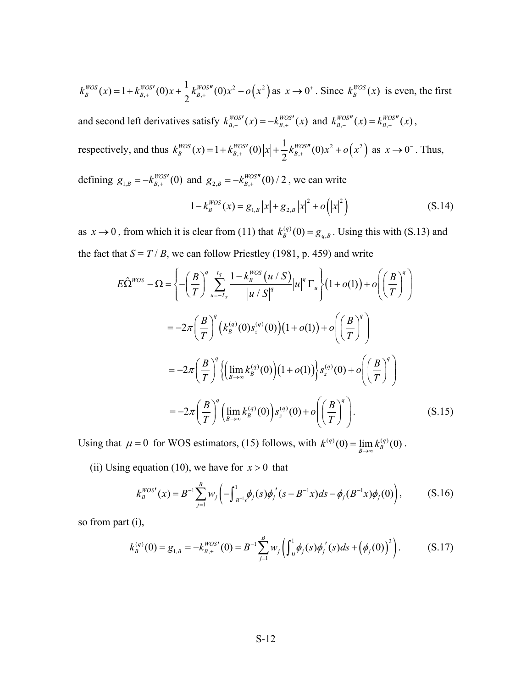$k_B^{WOS}(x) = 1 + k_{B,+}^{WOS'}(0)x + \frac{1}{2}k_{B,+}^{WOS''}(0)x^2 + o(x^2)$  as  $x \to 0^+$ . Since  $k_B^{WOS}(x)$  is even, the first

and second left derivatives satisfy  $k_{B,-}^{WOS'}(x) = -k_{B,+}^{WOS'}(x)$  and  $k_{B,-}^{WOS''}(x) = k_{B,+}^{WOS''}(x)$ ,

respectively, and thus  $k_B^{WOS}(x) = 1 + k_{B,+}^{WOS'}(0) |x| + \frac{1}{2} k_{B,+}^{WOS''}(0) x^2 + o(x^2)$  as  $x \to 0^-$ . Thus,

defining  $g_{1, B} = -k_{B,+}^{WOS'}(0)$  and  $g_{2, B} = -k_{B,+}^{WOS''}(0)/2$ , we can write

$$
1 - k_B^{WOS}(x) = g_{1,B} |x| + g_{2,B} |x|^2 + o(|x|^2)
$$
 (S.14)

as  $x \to 0$ , from which it is clear from (11) that  $k_B^{(q)}(0) = g_{q,B}$ . Using this with (S.13) and the fact that  $S = T / B$ , we can follow Priestley (1981, p. 459) and write

$$
E\hat{\Omega}^{WOS} - \Omega = \left\{ -\left(\frac{B}{T}\right)^q \sum_{u=-L_T}^{L_T} \frac{1 - k_B^{WOS}(u/S)}{|u/S|^q} |u|^q \Gamma_u \right\} (1 + o(1)) + o\left(\left(\frac{B}{T}\right)^q\right)
$$
  

$$
= -2\pi \left(\frac{B}{T}\right)^q \left(k_B^{(q)}(0)s_z^{(q)}(0)\right) (1 + o(1)) + o\left(\left(\frac{B}{T}\right)^q\right)
$$
  

$$
= -2\pi \left(\frac{B}{T}\right)^q \left\{ \left(\lim_{B \to \infty} k_B^{(q)}(0)\right) (1 + o(1)) \right\} s_z^{(q)}(0) + o\left(\left(\frac{B}{T}\right)^q\right)
$$
  

$$
= -2\pi \left(\frac{B}{T}\right)^q \left(\lim_{B \to \infty} k_B^{(q)}(0)\right) s_z^{(q)}(0) + o\left(\left(\frac{B}{T}\right)^q\right).
$$
 (S.15)

Using that  $\mu = 0$  for WOS estimators, (15) follows, with  $k^{(q)}(0) = \lim_{B \to \infty} k^{(q)}_B(0)$ .

(ii) Using equation (10), we have for  $x > 0$  that

$$
k_B^{WOS'}(x) = B^{-1} \sum_{j=1}^{B} w_j \left( - \int_{B^{-1}x}^{1} \phi_j(s) \phi_j'(s - B^{-1}x) ds - \phi_j(B^{-1}x) \phi_j(0) \right), \tag{S.16}
$$

so from part (i),

$$
k_B^{(q)}(0) = g_{1,B} = -k_{B,+}^{WOS'}(0) = B^{-1} \sum_{j=1}^B w_j \left( \int_0^1 \phi_j(s) \phi_j'(s) ds + \left( \phi_j(0) \right)^2 \right).
$$
 (S.17)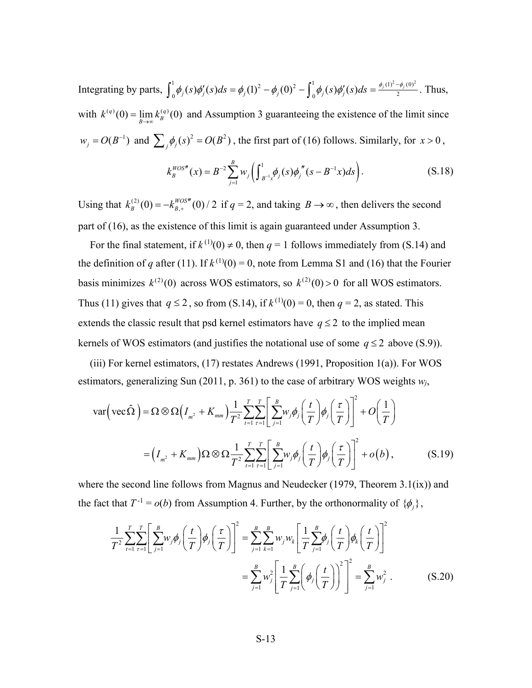Integrating by parts,  $\int_0^1 \phi_j(s) \phi'_j(s) ds = \phi_j(1)^2 - \phi_j(0)^2 - \int_0^1 \phi_j(s) \phi'_j(s) ds = \frac{\phi_j(1)^2 - \phi_j(0)^2}{2}$ . Thus, with  $k^{(q)}(0) = \lim_{B\to\infty} k^{(q)}_B(0)$  and Assumption 3 guaranteeing the existence of the limit since  $w_j = O(B^{-1})$  and  $\sum_j \phi_j(s)^2 = O(B^2)$ , the first part of (16) follows. Similarly, for  $x > 0$ ,

$$
k_B^{WOS''}(x) = B^{-2} \sum_{j=1}^B w_j \left( \int_{B^{-1}x}^1 \phi_j(s) \phi_j''(s - B^{-1}x) ds \right). \tag{S.18}
$$

Using that  $k_B^{(2)}(0) = -k_{B,+}^{WOS''}(0) / 2$  if  $q = 2$ , and taking  $B \to \infty$ , then delivers the second part of (16), as the existence of this limit is again guaranteed under Assumption 3.

For the final statement, if  $k^{(1)}(0) \neq 0$ , then  $q = 1$  follows immediately from (S.14) and the definition of *q* after (11). If  $k^{(1)}(0) = 0$ , note from Lemma S1 and (16) that the Fourier basis minimizes  $k^{(2)}(0)$  across WOS estimators, so  $k^{(2)}(0) > 0$  for all WOS estimators. Thus (11) gives that  $q \le 2$ , so from (S.14), if  $k^{(1)}(0) = 0$ , then  $q = 2$ , as stated. This extends the classic result that psd kernel estimators have  $q \leq 2$  to the implied mean kernels of WOS estimators (and justifies the notational use of some  $q \le 2$  above (S.9)).

(iii) For kernel estimators, (17) restates Andrews (1991, Proposition 1(a)). For WOS estimators, generalizing Sun (2011, p. 361) to the case of arbitrary WOS weights *wj*,

$$
\text{var}\left(\text{vec}\,\hat{\Omega}\right) = \Omega \otimes \Omega \Big(I_{m^2} + K_{mm}\Big) \frac{1}{T^2} \sum_{t=1}^T \sum_{\tau=1}^T \Bigg[ \sum_{j=1}^B w_j \phi_j \Bigg( \frac{t}{T} \Bigg) \phi_j \Bigg( \frac{\tau}{T} \Bigg) \Bigg]^2 + O\Big(\frac{1}{T}\Big)
$$

$$
= \Big(I_{m^2} + K_{mm}\Big) \Omega \otimes \Omega \frac{1}{T^2} \sum_{t=1}^T \sum_{\tau=1}^T \Bigg[ \sum_{j=1}^B w_j \phi_j \Bigg( \frac{t}{T} \Bigg) \phi_j \Bigg( \frac{\tau}{T} \Bigg) \Bigg]^2 + o(b), \tag{S.19}
$$

where the second line follows from Magnus and Neudecker (1979, Theorem  $3.1(ix)$ ) and the fact that  $T^{-1} = o(b)$  from Assumption 4. Further, by the orthonormality of  $\{\phi_i\}$ ,

$$
\frac{1}{T^2} \sum_{t=1}^T \sum_{\tau=1}^T \left[ \sum_{j=1}^B w_j \phi_j \left( \frac{t}{T} \right) \phi_j \left( \frac{\tau}{T} \right) \right]^2 = \sum_{j=1}^B \sum_{k=1}^B w_j w_k \left[ \frac{1}{T} \sum_{j=1}^B \phi_j \left( \frac{t}{T} \right) \phi_k \left( \frac{t}{T} \right) \right]^2
$$

$$
= \sum_{j=1}^B w_j^2 \left[ \frac{1}{T} \sum_{j=1}^B \left( \phi_j \left( \frac{t}{T} \right) \right)^2 \right]^2 = \sum_{j=1}^B w_j^2.
$$
(S.20)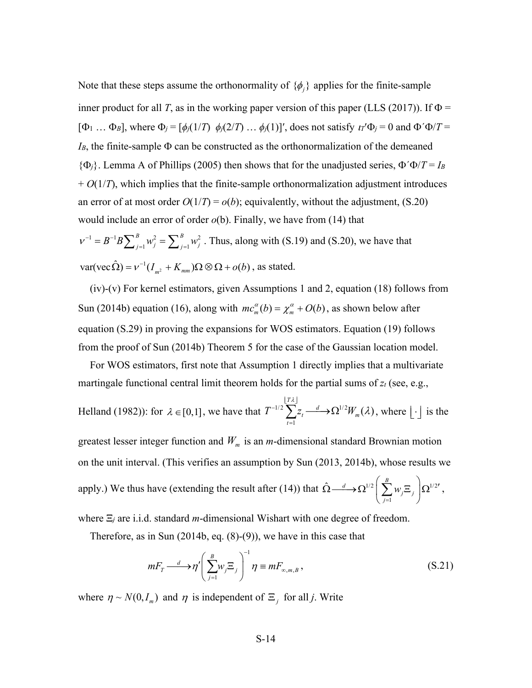Note that these steps assume the orthonormality of  $\{\phi_i\}$  applies for the finite-sample inner product for all *T*, as in the working paper version of this paper (LLS (2017)). If  $\Phi$  =  $[\Phi_1 \dots \Phi_B]$ , where  $\Phi_j = [\phi_j(1/T) \phi_j(2/T) \dots \phi_j(1)]'$ , does not satisfy  $\iota_I' \Phi_j = 0$  and  $\Phi' \Phi / T =$ *IB*, the finite-sample Φ can be constructed as the orthonormalization of the demeaned {Φ*j*}. Lemma A of Phillips (2005) then shows that for the unadjusted series, Φ´Φ/*T* = *IB*  $+ O(1/T)$ , which implies that the finite-sample orthonormalization adjustment introduces an error of at most order  $O(1/T) = o(b)$ ; equivalently, without the adjustment, (S.20) would include an error of order *o*(b). Finally, we have from (14) that  $1 - P^{-1} P \sum_{i=1}^{B} n_i^2 - \sum_{i=1}^{B} n_i^2$ *B* 2  $\bigcap B$  $v^{-1} = B^{-1} B \sum_{j=1}^{B} w_j^2 = \sum_{j=1}^{B} w_j^2$ . Thus, along with (S.19) and (S.20), we have that

 $1'$   $J$   $\qquad \qquad$   $j=1$  $var(vec\,\hat{\Omega}) = v^{-1}(I_{m^2} + K_{mm})\Omega\otimes\Omega + o(b)$ , as stated.

(iv)-(v) For kernel estimators, given Assumptions 1 and 2, equation (18) follows from Sun (2014b) equation (16), along with  $mc_m^{\alpha}(b) = \chi_m^{\alpha} + O(b)$ , as shown below after equation (S.29) in proving the expansions for WOS estimators. Equation (19) follows from the proof of Sun (2014b) Theorem 5 for the case of the Gaussian location model.

For WOS estimators, first note that Assumption 1 directly implies that a multivariate martingale functional central limit theorem holds for the partial sums of  $z_t$  (see, e.g.,

Helland (1982)): for 
$$
\lambda \in [0,1]
$$
, we have that  $T^{-1/2} \sum_{t=1}^{\lfloor T\lambda \rfloor} Z_t \xrightarrow{d} \Omega^{1/2} W_m(\lambda)$ , where  $\lfloor \cdot \rfloor$  is the

greatest lesser integer function and  $W_m$  is an *m*-dimensional standard Brownian motion on the unit interval. (This verifies an assumption by Sun (2013, 2014b), whose results we apply.) We thus have (extending the result after (14)) that  $\hat{\Omega} \rightarrow \Omega^{1/2} |\sum w_i \Xi_i| \Omega^{1/2}$ 1  $\hat{\Omega} \longrightarrow \Omega^{1/2} \Bigg( \sum_{j=1}^B w_j \Xi_j \Bigg)$ *w*  $\hat{\Omega} \longrightarrow \Omega^{1/2} \left( \sum_{j=1}^B w_j \Xi_j \right) \Omega^{1/2'}$ ,

where Ξ*<sup>j</sup>* are i.i.d. standard *m*-dimensional Wishart with one degree of freedom.

Therefore, as in Sun (2014b, eq. (8)-(9)), we have in this case that

$$
mF_{T} \longrightarrow \eta' \left(\sum_{j=1}^{B} w_{j} \Xi_{j}\right)^{-1} \eta \equiv mF_{\infty, m, B}, \qquad (S.21)
$$

where  $\eta \sim N(0, I_m)$  and  $\eta$  is independent of  $\Xi_j$  for all *j*. Write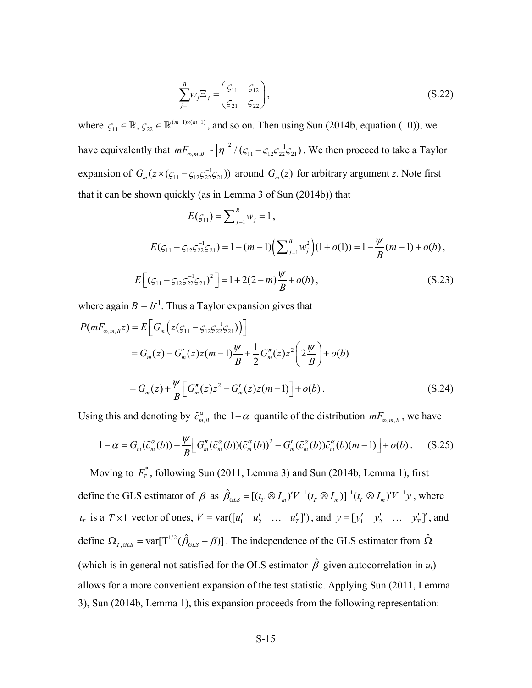$$
\sum_{j=1}^{B} w_j \Xi_j = \begin{pmatrix} \varsigma_{11} & \varsigma_{12} \\ \varsigma_{21} & \varsigma_{22} \end{pmatrix},\tag{S.22}
$$

where  $\zeta_{11} \in \mathbb{R}$ ,  $\zeta_{22} \in \mathbb{R}^{(m-1)\times(m-1)}$ , and so on. Then using Sun (2014b, equation (10)), we have equivalently that  $mF_{\infty,m,B} \sim ||\eta||^2 / (\zeta_{11} - \zeta_{12} \zeta_{22}^{-1} \zeta_{21})$ . We then proceed to take a Taylor expansion of  $G_m(z \times (\zeta_{11} - \zeta_{12} \zeta_{22}^{-1} \zeta_{21}))$  around  $G_m(z)$  for arbitrary argument *z*. Note first that it can be shown quickly (as in Lemma 3 of Sun (2014b)) that

$$
E(\zeta_{11}) = \sum_{j=1}^{B} w_j = 1,
$$
  
\n
$$
E(\zeta_{11} - \zeta_{12}\zeta_{22}^{-1}\zeta_{21}) = 1 - (m-1)\Big(\sum_{j=1}^{B} w_j^2\Big)(1 + o(1)) = 1 - \frac{\psi}{B}(m-1) + o(b),
$$
  
\n
$$
E\Big[(\zeta_{11} - \zeta_{12}\zeta_{22}^{-1}\zeta_{21})^2\Big] = 1 + 2(2-m)\frac{\psi}{B} + o(b),
$$
\n(S.23)

where again  $B = b^{-1}$ . Thus a Taylor expansion gives that

$$
P(mF_{\infty,m,B}z) = E\Big[G_m\Big(z(g_{11} - g_{12}g_{22}^{-1}g_{21})\Big)\Big]
$$
  
=  $G_m(z) - G'_m(z)z(m-1)\frac{\psi}{B} + \frac{1}{2}G''_m(z)z^2\Big(2\frac{\psi}{B}\Big) + o(b)$   
=  $G_m(z) + \frac{\psi}{B}\Big[G_m''(z)z^2 - G'_m(z)z(m-1)\Big] + o(b).$  (S.24)

Using this and denoting by  $\tilde{c}_{m,B}^{\alpha}$  the  $1-\alpha$  quantile of the distribution  $mF_{\infty,m,B}$ , we have

$$
1 - \alpha = G_m(\tilde{c}_m^{\alpha}(b)) + \frac{\psi}{B} \Big[ G_m''(\tilde{c}_m^{\alpha}(b)) (\tilde{c}_m^{\alpha}(b))^2 - G_m'(\tilde{c}_m^{\alpha}(b)) \tilde{c}_m^{\alpha}(b) (m-1) \Big] + o(b). \tag{S.25}
$$

Moving to  $F_T^*$ , following Sun (2011, Lemma 3) and Sun (2014b, Lemma 1), first define the GLS estimator of  $\beta$  as  $\hat{\beta}_{GLS} = [(t_T \otimes I_m)'V^{-1}(t_T \otimes I_m)]^{-1}(t_T \otimes I_m)'V^{-1}y$ , where  $\mathcal{U}_T$  is a  $T \times 1$  vector of ones,  $V = \text{var}([\mathcal{U}_1' \quad \mathcal{U}_2' \quad \dots \quad \mathcal{U}_T']'$ , and  $y = [\mathcal{Y}_1' \quad \mathcal{Y}_2' \quad \dots \quad \mathcal{Y}_T']'$ , and define  $\Omega_{T,GLS} = \text{var}[T^{1/2}(\hat{\beta}_{GLS} - \beta)]$ . The independence of the GLS estimator from  $\hat{\Omega}$ (which is in general not satisfied for the OLS estimator  $\hat{\beta}$  given autocorrelation in  $u_t$ ) allows for a more convenient expansion of the test statistic. Applying Sun (2011, Lemma 3), Sun (2014b, Lemma 1), this expansion proceeds from the following representation: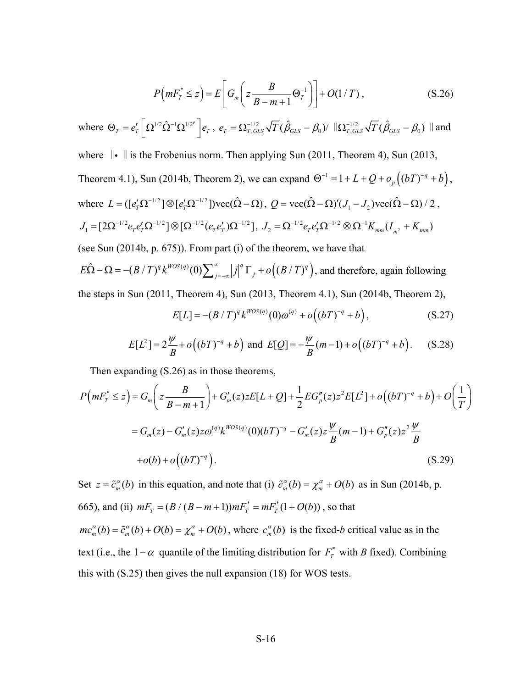$$
P\left(mF_T^* \leq z\right) = E\left[G_m\left(z\frac{B}{B-m+1}\Theta_T^{-1}\right)\right] + O(1/T),\tag{S.26}
$$

where 
$$
\Theta_T = e'_T \left[ \Omega^{1/2} \hat{\Omega}^{-1} \Omega^{1/2'} \right] e_T
$$
,  $e_T = \Omega_{T,GLS}^{-1/2} \sqrt{T} (\hat{\beta}_{GLS} - \beta_0) / ||\Omega_{T,GLS}^{-1/2} \sqrt{T} (\hat{\beta}_{GLS} - \beta_0) ||$  and

where  $\|\cdot\|$  is the Frobenius norm. Then applying Sun (2011, Theorem 4), Sun (2013,

Theorem 4.1), Sun (2014b, Theorem 2), we can expand 
$$
\Theta^{-1} = 1 + L + Q + o_p((bT)^{-q} + b)
$$
,  
where  $L = ([e'_T \Omega^{-1/2}] \otimes [e'_T \Omega^{-1/2}] \text{vec}(\hat{\Omega} - \Omega), Q = \text{vec}(\hat{\Omega} - \Omega)'(J_1 - J_2) \text{vec}(\hat{\Omega} - \Omega) / 2$ ,  
 $J_1 = [2\Omega^{-1/2} e_T e'_T \Omega^{-1/2}] \otimes [\Omega^{-1/2} (e_T e'_T) \Omega^{-1/2}], J_2 = \Omega^{-1/2} e_T e'_T \Omega^{-1/2} \otimes \Omega^{-1} K_{mm} (I_{m^2} + K_{mm})$ 

(see Sun (2014b, p. 675)). From part (i) of the theorem, we have that

 $E\hat{\Omega} - \Omega = -(B/T)^q k^{WOS(q)}(0) \sum_{j=-\infty}^{\infty} |j|^q \Gamma_j + o((B/T)^q)$ , and therefore, again following the steps in Sun (2011, Theorem 4), Sun (2013, Theorem 4.1), Sun (2014b, Theorem 2),

$$
E[L] = -(B/T)^{q} k^{WOS(q)}(0)\omega^{(q)} + o((bT)^{-q} + b), \qquad (S.27)
$$

$$
E[L^{2}] = 2\frac{\psi}{B} + o((bT)^{-q} + b) \text{ and } E[Q] = -\frac{\psi}{B}(m-1) + o((bT)^{-q} + b). \quad (S.28)
$$

Then expanding (S.26) as in those theorems,

$$
P\left(mF_T^* \leq z\right) = G_m\left(z\frac{B}{B-m+1}\right) + G'_m(z)zE[L+Q] + \frac{1}{2}EG''_p(z)z^2E[L^2] + o\left((bT)^{-q} + b\right) + O\left(\frac{1}{T}\right)
$$
  

$$
= G_m(z) - G'_m(z)z\omega^{(q)}k^{WOS(q)}(0)(bT)^{-q} - G'_m(z)z\frac{\psi}{B}(m-1) + G''_p(z)z^2\frac{\psi}{B}
$$
  
+o(b) + o\left((bT)^{-q}\right). (S.29)

Set  $z = \tilde{c}_m^{\alpha}(b)$  in this equation, and note that (i)  $\tilde{c}_m^{\alpha}(b) = \chi_m^{\alpha} + O(b)$  as in Sun (2014b, p. 665), and (ii)  $mF_T = (B/(B-m+1))mF_T^* = mF_T^*(1+O(b))$ , so that  $mc_m^{\alpha}(b) = \tilde{c}_m^{\alpha}(b) + O(b) = \chi_m^{\alpha} + O(b)$ , where  $c_m^{\alpha}(b)$  is the fixed-*b* critical value as in the text (i.e., the 1−α quantile of the limiting distribution for  $F_T^*$  with *B* fixed). Combining this with (S.25) then gives the null expansion (18) for WOS tests.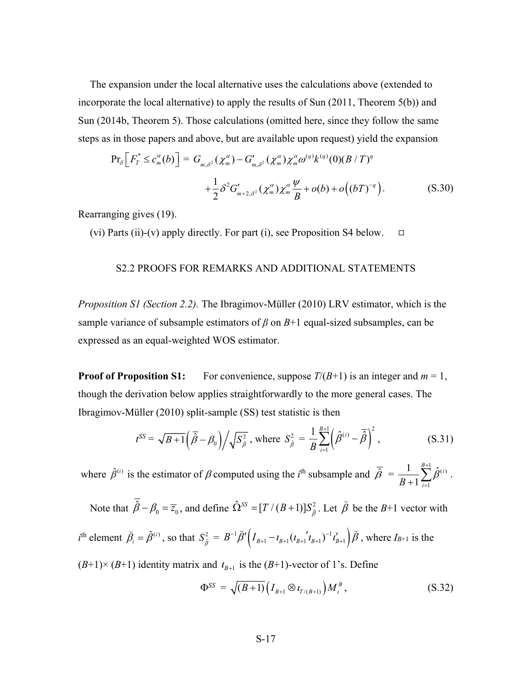The expansion under the local alternative uses the calculations above (extended to incorporate the local alternative) to apply the results of Sun (2011, Theorem 5(b)) and Sun (2014b, Theorem 5). Those calculations (omitted here, since they follow the same steps as in those papers and above, but are available upon request) yield the expansion

$$
\Pr_{\delta} \left[ F_r^* \le c_m^{\alpha}(b) \right] = G_{m,\delta^2}(\chi_m^{\alpha}) - G'_{m,\delta^2}(\chi_m^{\alpha}) \chi_m^{\alpha} \omega^{(q)} k^{(q)}(0) (B/T)^q
$$
  
+ 
$$
\frac{1}{2} \delta^2 G'_{m+2,\delta^2}(\chi_m^{\alpha}) \chi_m^{\alpha} \frac{\psi}{B} + o(b) + o((bT)^{-q}). \tag{S.30}
$$

Rearranging gives (19).

<span id="page-16-0"></span>(vi) Parts (ii)-(v) apply directly. For part (i), see Proposition S4 below.  $\square$ 

# S2.2 PROOFS FOR REMARKS AND ADDITIONAL STATEMENTS

*Proposition S1 (Section 2.2).* The Ibragimov-Müller (2010) LRV estimator, which is the sample variance of subsample estimators of  $\beta$  on  $B+1$  equal-sized subsamples, can be expressed as an equal-weighted WOS estimator.

**Proof of Proposition S1:** For convenience, suppose  $T/(B+1)$  is an integer and  $m = 1$ , though the derivation below applies straightforwardly to the more general cases. The Ibragimov-Müller (2010) split-sample (SS) test statistic is then

$$
t^{SS} = \sqrt{B+1} \left( \overline{\hat{\beta}} - \beta_0 \right) / \sqrt{S_{\hat{\beta}}^2}
$$
, where  $S_{\hat{\beta}}^2 = \frac{1}{B} \sum_{i=1}^{B+1} \left( \hat{\beta}^{(i)} - \overline{\hat{\beta}} \right)^2$ , (S.31)

where  $\hat{\beta}^{(i)}$  is the estimator of  $\beta$  computed using the *i*<sup>th</sup> subsample and  $\overline{\hat{\beta}} = \frac{1}{\sqrt{2}} \sum_{i=1}^{B+1} \hat{\beta}^{(i)}$ . 1 1  $\sum_{i=1}^{B+1} \hat{a}^{(i)}$  $B + 1 \frac{2}{i}$ β +  $\frac{1}{+1} \sum_{i=1}$ 

Note that  $\overline{\hat{\beta}} - \beta_0 = \overline{z}_0$ , and define  $\hat{\Omega}^{SS} = [T/(B+1)]S_{\hat{\beta}}^2$ . Let  $\overline{\hat{\beta}}$ be the *B*+1 vector with

 $i^{\text{th}}$  element  $\tilde{\beta}_i = \hat{\beta}^{(i)}$ , so that  $S_{\hat{\beta}}^2 = B^{-1} \tilde{\beta}' \Big( I_{B+1} - I_{B+1} (t_{B+1} | t_{B+1})^{-1} t_{B+1}' \Big) \tilde{\beta}$ , where  $I_{B+1}$  is the

 $(B+1) \times (B+1)$  identity matrix and  $t_{B+1}$  is the  $(B+1)$ -vector of 1's. Define

$$
\Phi^{SS} = \sqrt{(B+1)} \Big( I_{B+1} \otimes t_{T/(B+1)} \Big) M_i^B , \qquad (S.32)
$$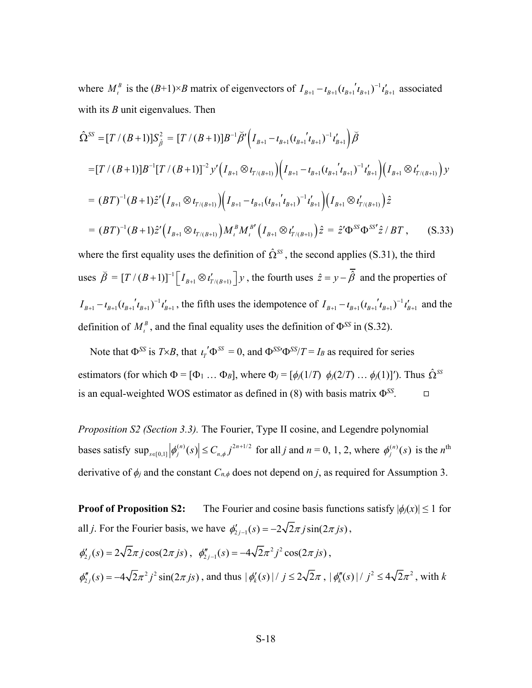where  $M_l^B$  is the  $(B+1)\times B$  matrix of eigenvectors of  $I_{B+1} - I_{B+1} (t_{B+1}^{\prime} t_{B+1}^{\prime})^{-1} t_{B+1}^{\prime}$  associated with its *B* unit eigenvalues. Then

$$
\hat{\Omega}^{SS} = [T/(B+1)]S_{\hat{\beta}}^{2} = [T/(B+1)]B^{-1}\tilde{\beta}'(I_{B+1} - t_{B+1}(t_{B+1}{}^{'}t_{B+1})^{-1}t_{B+1}^{\prime})\tilde{\beta}
$$
\n
$$
= [T/(B+1)]B^{-1}[T/(B+1)]^{-2}y'(I_{B+1}\otimes t_{T/(B+1)})\Big(I_{B+1} - t_{B+1}(t_{B+1}{}^{'}t_{B+1})^{-1}t_{B+1}^{\prime}\Big)(I_{B+1}\otimes t_{T/(B+1)}^{\prime})y
$$
\n
$$
= (BT)^{-1}(B+1)\hat{z}'(I_{B+1}\otimes t_{T/(B+1)})\Big(I_{B+1} - t_{B+1}(t_{B+1}{}^{'}t_{B+1})^{-1}t_{B+1}^{\prime}\Big)(I_{B+1}\otimes t_{T/(B+1)}^{\prime})\hat{z}
$$
\n
$$
= (BT)^{-1}(B+1)\hat{z}'(I_{B+1}\otimes t_{T/(B+1)})M_{i}^{B}M_{i}^{B'}(I_{B+1}\otimes t_{T/(B+1)}^{\prime})\hat{z} = \hat{z}'\Phi^{SS}\Phi^{SS'}\hat{z}/BT, \qquad (S.33)
$$

where the first equality uses the definition of  $\hat{\Omega}^{SS}$ , the second applies (S.31), the third uses  $\overline{\beta} = [T/(B+1)]^{-1} \Big[ I_{B+1} \otimes I'_{T/(B+1)} \Big] y$ , the fourth uses  $\hat{z} = y - \overline{\hat{\beta}}$  and the properties of  $I_{B+1} - I_{B+1} (t_{B+1} t_{B+1})^{-1} t_{B+1}'$ , the fifth uses the idempotence of  $I_{B+1} - t_{B+1} (t_{B+1} t_{B+1})^{-1} t_{B+1}'$  and the definition of  $M_l^B$ , and the final equality uses the definition of  $\Phi^{SS}$  in (S.32).

Note that  $\Phi^{SS}$  is *T*×*B*, that  $\iota_T' \Phi^{SS} = 0$ , and  $\Phi^{SS'} \Phi^{SS}/T = I_B$  as required for series estimators (for which  $\Phi = [\Phi_1 \dots \Phi_B]$ , where  $\Phi_j = [\phi_j(1/T) \phi_j(2/T) \dots \phi_j(1)]'$ ). Thus  $\hat{\Omega}^{SS}$ is an equal-weighted WOS estimator as defined in (8) with basis matrix Φ*SS*.

*Proposition S2 (Section 3.3).* The Fourier, Type II cosine, and Legendre polynomial bases satisfy  $\sup_{s \in [0,1]} |\phi_j^{(n)}(s)| \le C_{n,\phi} j^{2n+1/2}$  for all *j* and  $n = 0, 1, 2$ , where  $\phi_j^{(n)}(s)$  is the *n*<sup>th</sup> derivative of  $\phi_j$  and the constant  $C_{n,\phi}$  does not depend on *j*, as required for Assumption 3.

**Proof of Proposition S2:** The Fourier and cosine basis functions satisfy  $|\phi_i(x)| \le 1$  for all *j*. For the Fourier basis, we have  $\phi'_{2j-1}(s) = -2\sqrt{2\pi j} \sin(2\pi js)$ ,

$$
\phi'_{2j}(s) = 2\sqrt{2\pi j} \cos(2\pi j s), \quad \phi''_{2j-1}(s) = -4\sqrt{2\pi^2 j^2} \cos(2\pi j s),
$$
  

$$
\phi''_{2j}(s) = -4\sqrt{2\pi^2 j^2} \sin(2\pi j s), \text{ and thus } |\phi'_k(s)| / j \le 2\sqrt{2\pi}, |\phi''_k(s)| / j^2 \le 4\sqrt{2\pi^2}, \text{ with } k
$$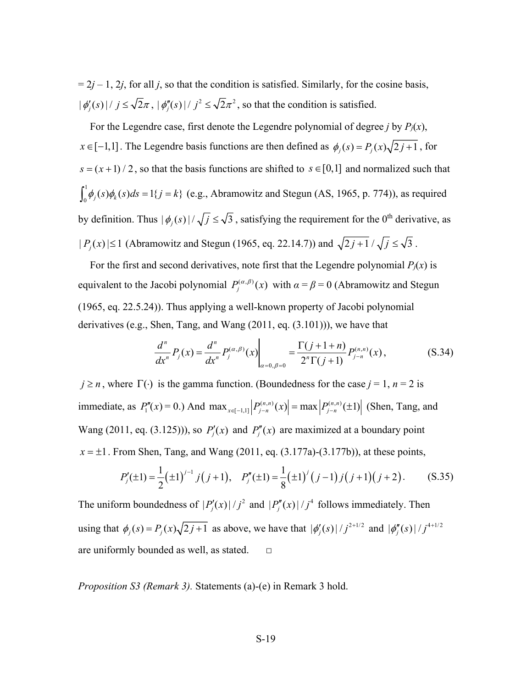$= 2j - 1$ , 2*j*, for all *j*, so that the condition is satisfied. Similarly, for the cosine basis,  $|\phi'_{j}(s)|/j \leq \sqrt{2}\pi$ ,  $|\phi''_{j}(s)|/j^{2} \leq \sqrt{2}\pi^{2}$ , so that the condition is satisfied.

For the Legendre case, first denote the Legendre polynomial of degree *j* by  $P_i(x)$ , *x*∈ [-1,1]. The Legendre basis functions are then defined as  $\phi_j(s) = P_j(x)\sqrt{2j+1}$ , for  $s = (x + 1) / 2$ , so that the basis functions are shifted to  $s \in [0,1]$  and normalized such that  $\int_0^1 \phi_j(s) \phi_k(s) ds = 1\{j = k\}$  (e.g., Abramowitz and Stegun (AS, 1965, p. 774)), as required by definition. Thus  $|\phi_i(s)|/\sqrt{j} \leq \sqrt{3}$ , satisfying the requirement for the 0<sup>th</sup> derivative, as  $| P_j(x) | \le 1$  (Abramowitz and Stegun (1965, eq. 22.14.7)) and  $\sqrt{2j+1}/\sqrt{j} \le \sqrt{3}$ .

For the first and second derivatives, note first that the Legendre polynomial  $P_i(x)$  is equivalent to the Jacobi polynomial  $P_j^{(\alpha,\beta)}(x)$  with  $\alpha = \beta = 0$  (Abramowitz and Stegun (1965, eq. 22.5.24)). Thus applying a well-known property of Jacobi polynomial derivatives (e.g., Shen, Tang, and Wang (2011, eq. (3.101))), we have that

$$
\frac{d^n}{dx^n} P_j(x) = \frac{d^n}{dx^n} P_j^{(\alpha,\beta)}(x) \Big|_{\alpha=0,\beta=0} = \frac{\Gamma(j+1+n)}{2^n \Gamma(j+1)} P_{j-n}^{(n,n)}(x), \tag{S.34}
$$

 $j \ge n$ , where  $\Gamma(\cdot)$  is the gamma function. (Boundedness for the case  $j = 1$ ,  $n = 2$  is  $\text{immediate, as } P''_1(x) = 0.$ ) And  $\max_{x \in [-1,1]} |P^{(n,n)}_{j-n}(x)| = \max |P^{(n,n)}_{j-n}(±1)|$  (Shen, Tang, and Wang (2011, eq. (3.125))), so  $P'_j(x)$  and  $P''_j(x)$  are maximized at a boundary point  $x = \pm 1$ . From Shen, Tang, and Wang (2011, eq. (3.177a)-(3.177b)), at these points,

$$
P'_{j}(\pm 1) = \frac{1}{2} (\pm 1)^{j-1} j(j+1), \quad P''_{j}(\pm 1) = \frac{1}{8} (\pm 1)^{j} (j-1) j(j+1) (j+2).
$$
 (S.35)

The uniform boundedness of  $|P'_j(x)|/j^2$  and  $|P''_j(x)|/j^4$  follows immediately. Then using that  $\phi_j(s) = P_j(x)\sqrt{2j+1}$  as above, we have that  $|\phi'_j(s)|/j^{2+1/2}$  and  $|\phi''_j(s)|/j^{4+1/2}$ are uniformly bounded as well, as stated.  $□$ 

*Proposition S3 (Remark 3).* Statements (a)-(e) in Remark 3 hold.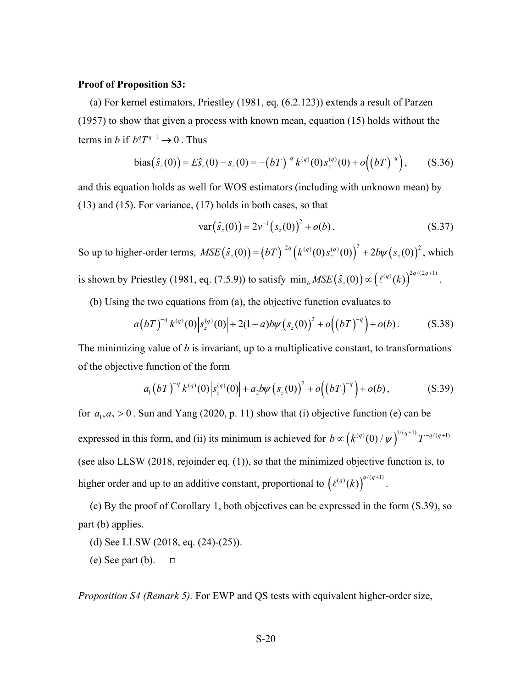#### **Proof of Proposition S3:**

(a) For kernel estimators, Priestley (1981, eq. (6.2.123)) extends a result of Parzen (1957) to show that given a process with known mean, equation (15) holds without the terms in *b* if  $b^q T^{q-1} \to 0$ . Thus

bias
$$
(\hat{s}_z(0)) = E \hat{s}_z(0) - s_z(0) = -(bT)^{-q} k^{(q)}(0) s_z^{(q)}(0) + o((bT)^{-q}),
$$
 (S.36)

and this equation holds as well for WOS estimators (including with unknown mean) by (13) and (15). For variance, (17) holds in both cases, so that

$$
var(s_z(0)) = 2v^{-1}(s_z(0))^2 + o(b).
$$
 (S.37)

So up to higher-order terms,  $MSE(\hat{s}_z(0)) = (bT)^{-2q} (k^{(q)}(0) s_z^{(q)}(0))^2 + 2b\psi(s_z(0))^2$ , which is shown by Priestley (1981, eq. (7.5.9)) to satisfy  $\min_b MSE(\hat{s}_z(0)) \propto \left( \ell^{(q)}(k) \right)^{2q/(2q+1)}$  $\partial_b\mathit{MSE}\big(\hat{s}_z(0)\big) \!\propto\! \left(\ell^{(q)}(k)\right)^{\!2q/(2q+1)}.$ 

(b) Using the two equations from (a), the objective function evaluates to

$$
a(bT)^{-q} k^{(q)}(0) |s_z^{(q)}(0)| + 2(1-a)b\psi (s_z(0))^2 + o((bT)^{-q}) + o(b).
$$
 (S.38)

The minimizing value of *b* is invariant, up to a multiplicative constant, to transformations of the objective function of the form

$$
a_1(bT)^{-q} k^{(q)}(0) |s_z^{(q)}(0)| + a_2 b \psi (s_z(0))^2 + o((bT)^{-q}) + o(b), \qquad (S.39)
$$

for  $a_1, a_2 > 0$ . Sun and Yang (2020, p. 11) show that (i) objective function (e) can be expressed in this form, and (ii) its minimum is achieved for  $b \propto (k^{(q)}(0) / \psi)^{1/(q+1)} T^{-q/(q+1)}$ (see also LLSW (2018, rejoinder eq. (1)), so that the minimized objective function is, to higher order and up to an additive constant, proportional to  $\left( \ell^{(q)}(k) \right)^{q/(q+1)}$ .

(c) By the proof of Corollary 1, both objectives can be expressed in the form (S.39), so part (b) applies.

- (d) See LLSW (2018, eq. (24)-(25)).
- (e) See part (b).  $\Box$

*Proposition S4 (Remark 5).* For EWP and QS tests with equivalent higher-order size,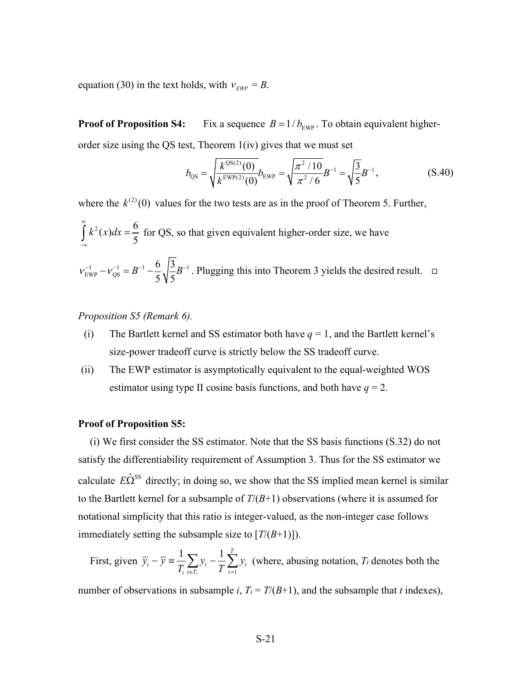equation (30) in the text holds, with  $v_{EWP} = B$ .

**Proof of Proposition S4:** Fix a sequence  $B = 1/b_{\text{EWP}}$ . To obtain equivalent higherorder size using the QS test, Theorem 1(iv) gives that we must set

$$
b_{\rm QS} = \sqrt{\frac{k^{\rm QS(2)}(0)}{k^{\rm EWP(2)}(0)}} b_{\rm EWP} = \sqrt{\frac{\pi^2/10}{\pi^2/6}} B^{-1} = \sqrt{\frac{3}{5}} B^{-1},
$$
 (S.40)

where the  $k^{(2)}(0)$  values for the two tests are as in the proof of Theorem 5. Further,  $k^2(x)dx = \frac{6}{5}$ ∞  $\int_{-\infty}^{x} k^2(x)dx = \frac{6}{5}$  for QS, so that given equivalent higher-order size, we have 1  $I^{-1} = D^{-1}$   $U \begin{bmatrix} J & D^{-1} \end{bmatrix}$ EWP <sup>r</sup> QS 6 3 5 V 5  $v_{\text{EWP}}^{-1} - v_{\text{OS}}^{-1} = B^{-1} - \frac{8}{5} \sqrt{\frac{9}{5}} B^{-1}$ . Plugging this into Theorem 3 yields the desired result.  $\square$ 

*Proposition S5 (Remark 6).* 

- (i) The Bartlett kernel and SS estimator both have  $q = 1$ , and the Bartlett kernel's size-power tradeoff curve is strictly below the SS tradeoff curve.
- (ii) The EWP estimator is asymptotically equivalent to the equal-weighted WOS estimator using type II cosine basis functions, and both have  $q = 2$ .

#### **Proof of Proposition S5:**

(i) We first consider the SS estimator. Note that the SS basis functions (S.32) do not satisfy the differentiability requirement of Assumption 3. Thus for the SS estimator we calculate  $E\hat{\Omega}^{ss}$  directly; in doing so, we show that the SS implied mean kernel is similar to the Bartlett kernel for a subsample of *T*/(*B*+1) observations (where it is assumed for notational simplicity that this ratio is integer-valued, as the non-integer case follows immediately setting the subsample size to  $[T/(B+1)]$ ).

First, given 1  $1 \nabla$ <sub>1</sub>  $1 \nabla$ *i i*  $y = T/L$   $y_t$   $T/L$   $y_t$  $\overline{y}_i - \overline{y} = \frac{1}{T_i} \sum_{t \in T_i} y_t - \frac{1}{T} \sum_{t=1}^T y_t$  (where, abusing notation, *T<sub>i</sub>* denotes both the

number of observations in subsample *i*,  $T_i = T/(B+1)$ , and the subsample that *t* indexes),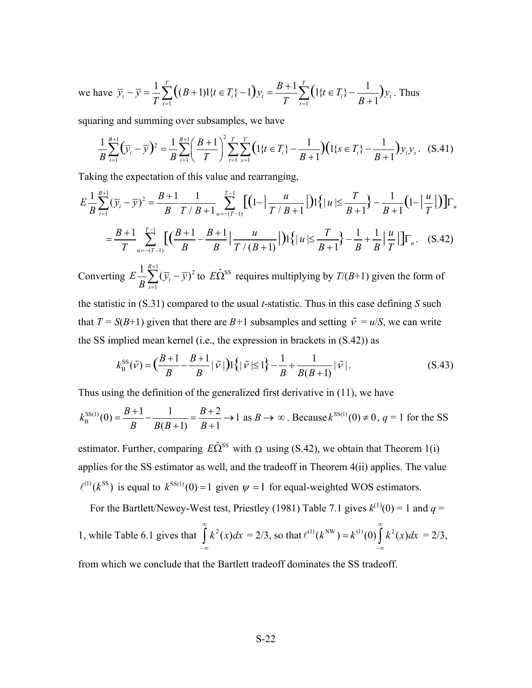we have 
$$
\overline{y}_i - \overline{y} = \frac{1}{T} \sum_{t=1}^T ((B+1)1\{t \in T_i\} - 1) y_t = \frac{B+1}{T} \sum_{t=1}^T (1\{t \in T_i\} - \frac{1}{B+1}) y_t
$$
. Thus

squaring and summing over subsamples, we have

$$
\frac{1}{B} \sum_{i=1}^{B+1} (\overline{y}_i - \overline{y})^2 = \frac{1}{B} \sum_{i=1}^{B+1} \left( \frac{B+1}{T} \right)^2 \sum_{t=1}^T \sum_{s=1}^T \left( 1\{t \in T_i\} - \frac{1}{B+1} \right) \left( 1\{s \in T_i\} - \frac{1}{B+1} \right) y_t y_s. \tag{S.41}
$$

Taking the expectation of this value and rearranging,

$$
E\frac{1}{B}\sum_{i=1}^{B+1}(\overline{y}_{i}-\overline{y})^{2} = \frac{B+1}{B}\frac{1}{T/B+1}\sum_{u=-(T-1)}^{T-1}[(1-|\frac{u}{T/B+1}|)1\{|u| \leq \frac{T}{B+1}\} - \frac{1}{B+1}(1-|\frac{u}{T}|)]\Gamma_{u}
$$
  

$$
= \frac{B+1}{T}\sum_{u=-(T-1)}^{T-1}[(\frac{B+1}{B}-\frac{B+1}{B}| \frac{u}{T/(B+1)}|)1\{|u| \leq \frac{T}{B+1}\} - \frac{1}{B} + \frac{1}{B}|\frac{u}{T}|]\Gamma_{u}. \quad (S.42)
$$

Converting  $\frac{1}{(11-1)^2}$ 1  $\frac{1}{2}\sum_{i=1}^{B+1}(\overline{y}_i-\overline{y})$ *i*  $E\frac{1}{B}\sum_{i=1}^{B}(\overline{y}_{i}-\overline{y}_{i})$  $\sum_{i=1} (\overline{y}_i - \overline{y})^2$  to  $E\hat{\Omega}^{SS}$  requires multiplying by  $T/(B+1)$  given the form of

the statistic in (S.31) compared to the usual *t*-statistic. Thus in this case defining *S* such that  $T = S(B+1)$  given that there are  $B+1$  subsamples and setting  $\tilde{v} = u/S$ , we can write the SS implied mean kernel (i.e., the expression in brackets in (S.42)) as

$$
k_{\rm B}^{\rm SS}(\tilde{\nu}) = \left(\frac{B+1}{B} - \frac{B+1}{B}|\tilde{\nu}|\right) \left\{ |\tilde{\nu}| \le 1 \right\} - \frac{1}{B} + \frac{1}{B(B+1)}|\tilde{\nu}|. \tag{S.43}
$$

Thus using the definition of the generalized first derivative in (11), we have

$$
k_{\rm B}^{\rm SS(1)}(0) = \frac{B+1}{B} - \frac{1}{B(B+1)} = \frac{B+2}{B+1} \to 1 \text{ as } B \to \infty. \text{ Because } k^{\rm SS(1)}(0) \neq 0, q = 1 \text{ for the SS}
$$

estimator. Further, comparing  $E\hat{\Omega}^{SS}$  with  $\Omega$  using (S.42), we obtain that Theorem 1(i) applies for the SS estimator as well, and the tradeoff in Theorem 4(ii) applies. The value  $\ell^{(1)}(k^{SS})$  is equal to  $k^{SS(1)}(0) = 1$  given  $\psi = 1$  for equal-weighted WOS estimators.

For the Bartlett/Newey-West test, Priestley (1981) Table 7.1 gives  $k^{(1)}(0) = 1$  and  $q =$ 1, while Table 6.1 gives that  $\int k^2(x) dx$ ∞  $\int_{-\infty}^{\infty} k^2(x) dx = 2/3$ , so that  $\ell^{(1)}(k^{\text{NW}}) = k^{(1)}(0) \int_{-\infty}^{\infty} k^2(x) dx$ ∞  $\ell^{(1)}(k^{\text{NW}}) = k^{(1)}(0) \int_{-\infty}^{\infty} k^2(x) dx = 2/3,$ 

from which we conclude that the Bartlett tradeoff dominates the SS tradeoff.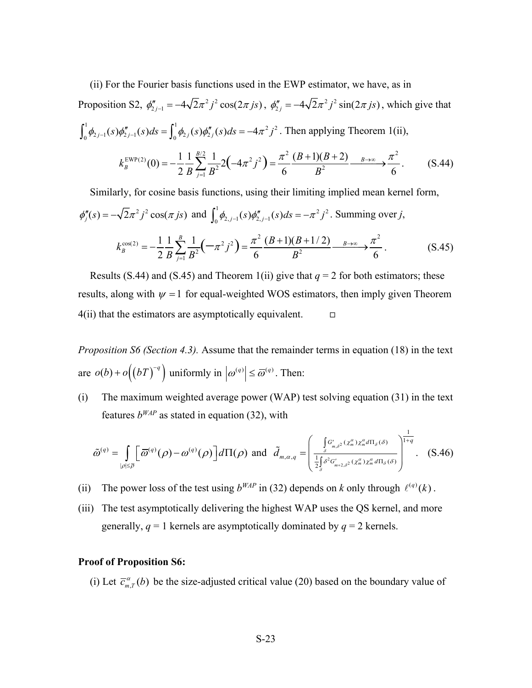(ii) For the Fourier basis functions used in the EWP estimator, we have, as in Proposition S2,  $\phi''_{2j-1} = -4\sqrt{2\pi^2 j^2} \cos(2\pi j s)$ ,  $\phi''_{2j} = -4\sqrt{2\pi^2 j^2} \sin(2\pi j s)$ , which give that  $\int_0^1 \phi_{2j-1}(s)\phi''_{2j-1}(s)ds = \int_0^1 \phi_{2j}(s)\phi''_{2j}(s)ds = -4\pi^2j^2$ . Then applying Theorem 1(ii), EWP(2)(0)  $\begin{pmatrix} 1 & 1 & \frac{B}{2} & 1 \\ 1 & \frac{C}{2} & 1 & 1 \end{pmatrix}$   $\begin{pmatrix} 1 & \frac{C}{2} & \frac{C}{2} \\ 1 & \frac{C}{2} & \frac{C}{2} \end{pmatrix}$   $\begin{pmatrix} \pi^2 & (B+1)(B+2) & \frac{C}{2} & \pi^2 \\ 1 & \frac{C}{2} & \frac{C}{2} & \frac{C}{2} \end{pmatrix}$  $A^2 B^2$   $($   $\cdots$   $)$   $)$  6  $B^2$  $(0) = -\frac{1}{2} \frac{1}{B} \sum_{j=1}^{B/2} \frac{1}{B^2} 2 \left(-4\pi^2 j^2\right) = \frac{\pi^2}{6} \frac{(B+1)(B+2)}{B^2} \longrightarrow \frac{\pi^2}{6}$ *B*  $k_B^{\text{EWP}(2)}(0) = -\frac{1}{2} \frac{1}{B} \sum_{j=1}^{B/2} \frac{1}{B^2} 2 \left(-4\pi^2 j^2\right) = \frac{\pi^2}{6} \frac{(B+1)(B+2)}{B^2} \longrightarrow \frac{\pi^2}{6}$  $=-\frac{1}{2}\frac{1}{B}\sum_{j=1}^{B/2}\frac{1}{B^2}2(-4\pi^2j^2)=\frac{\pi^2}{6}\frac{(B+1)(B+2)}{B^2}\frac{B\to\infty}{6}\frac{\pi^2}{6}.$  (S.44)

Similarly, for cosine basis functions, using their limiting implied mean kernel form,  $\phi''_j(s) = -\sqrt{2\pi^2 j^2} \cos(\pi j s)$  and  $\int_0^1 \phi_{2,j-1}(s) \phi''_{2,j-1}(s) ds = -\pi^2 j^2$ . Summing over *j*,

$$
k_B^{\cos(2)} = -\frac{1}{2} \frac{1}{B} \sum_{j=1}^{B} \frac{1}{B^2} \left( -\pi^2 j^2 \right) = \frac{\pi^2}{6} \frac{(B+1)(B+1/2)}{B^2} \xrightarrow{B \to \infty} \frac{\pi^2}{6}.
$$
 (S.45)

Results (S.44) and (S.45) and Theorem 1(ii) give that  $q = 2$  for both estimators; these results, along with  $\psi = 1$  for equal-weighted WOS estimators, then imply given Theorem  $4(ii)$  that the estimators are asymptotically equivalent.  $\Box$ 

*Proposition S6 (Section 4.3).* Assume that the remainder terms in equation (18) in the text are  $o(b) + o((bT)^{-q})$  uniformly in  $|o^{(q)}| \le \overline{\omega}^{(q)}$ . Then:

(i) The maximum weighted average power (WAP) test solving equation (31) in the text features  $b^{WAP}$  as stated in equation (32), with

$$
\tilde{\omega}^{(q)} = \int_{|\rho| \leq \overline{\rho}} \left[ \overline{\omega}^{(q)}(\rho) - \omega^{(q)}(\rho) \right] d\Pi(\rho) \text{ and } \tilde{d}_{m,\alpha,q} = \left( \frac{\int_{\delta} G'_{m,\delta^2}(x_m^{\alpha}) x_m^{\alpha} d\Pi_{\delta}(\delta)}{\frac{1}{2} \int_{\delta} \delta^2 G'_{m+2,\delta^2}(x_m^{\alpha}) x_m^{\alpha} d\Pi_{\delta}(\delta)} \right)^{\frac{1}{1+q}}. (S.46)
$$

- (ii) The power loss of the test using  $b^{WAP}$  in (32) depends on *k* only through  $\ell^{(q)}(k)$ .
- (iii) The test asymptotically delivering the highest WAP uses the QS kernel, and more generally,  $q = 1$  kernels are asymptotically dominated by  $q = 2$  kernels.

#### **Proof of Proposition S6:**

(i) Let  $\overline{c}_{m,T}^{\alpha}(b)$  be the size-adjusted critical value (20) based on the boundary value of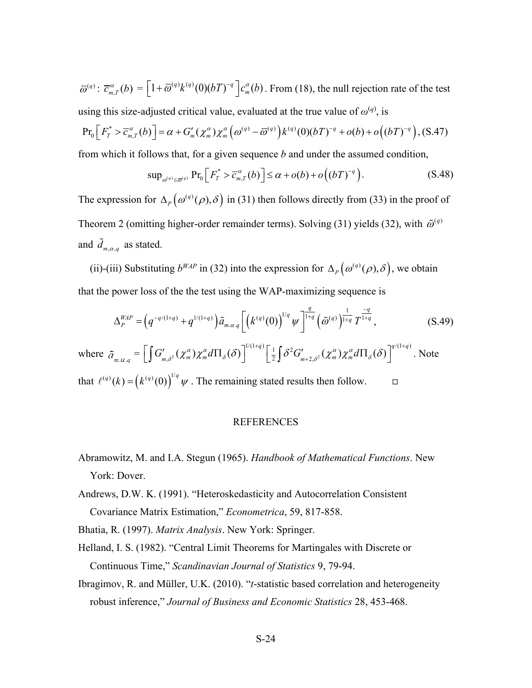$\overline{\omega}^{(q)}$ :  $\overline{c}_{m,T}^{\alpha}(b) = \left[1 + \overline{\omega}^{(q)} k^{(q)}(0) (bT)^{-q} \right] c_m^{\alpha}(b)$ . From (18), the null rejection rate of the test using this size-adjusted critical value, evaluated at the true value of  $\omega^{(q)}$ , is

$$
\Pr_0\Big[F_T^* > \overline{c}_{m,T}^{\alpha}(b)\Big] = \alpha + G'_m(\chi_m^{\alpha})\chi_m^{\alpha}\big(\omega^{(q)} - \overline{\omega}^{(q)}\big)k^{(q)}(0)(bT)^{-q} + o(b) + o\big((bT)^{-q}\big), (S.47)
$$

from which it follows that, for a given sequence *b* and under the assumed condition,

$$
\sup_{\omega^{(q)} \leq \overline{\omega}^{(q)}} \Pr_0 \Big[ F_T^* > \overline{c}_{m,T}^{\alpha}(b) \Big] \leq \alpha + o(b) + o\Big((bT)^{-q}\Big). \tag{S.48}
$$

The expression for  $\Delta_p(\omega^{(q)}(\rho), \delta)$  in (31) then follows directly from (33) in the proof of Theorem 2 (omitting higher-order remainder terms). Solving (31) yields (32), with  $\tilde{\omega}^{(q)}$ and  $\tilde{d}_{m,\alpha,q}$  as stated.

(ii)-(iii) Substituting  $b^{WAP}$  in (32) into the expression for  $\Delta_P(\omega^{(q)}(\rho), \delta)$ , we obtain that the power loss of the the test using the WAP-maximizing sequence is

$$
\Delta_P^{WAP} = \left( q^{-q/(1+q)} + q^{1/(1+q)} \right) \tilde{a}_{m,\alpha,q} \left[ \left( k^{(q)}(0) \right)^{1/q} \psi \right]_{1+q}^{\frac{q}{1+q}} \left( \tilde{\omega}^{(q)} \right)^{\frac{1}{1+q}} T^{\frac{-q}{1+q}}, \tag{S.49}
$$

where  $\tilde{a}_{m,\alpha,q} = \left[ \int G'_{m,\delta^2}(\chi_m^{\alpha}) \chi_m^{\alpha} d\Pi_{\delta}(\delta) \right]^{1/(1+q)} \left[ \frac{1}{2} \int \delta^2 G'_{m+2,\delta^2}(\chi_m^{\alpha}) \chi_m^{\alpha} d\Pi_{\delta}(\delta) \right]^{q/(1+q)}$ . Note that  $\ell^{(q)}(k) = (k^{(q)}(0))^{1/q} \psi$ . The remaining stated results then follow.

# REFERENCES

- <span id="page-23-0"></span>Abramowitz, M. and I.A. Stegun (1965). *Handbook of Mathematical Functions*. New York: Dover.
- Andrews, D.W. K. (1991). "Heteroskedasticity and Autocorrelation Consistent Covariance Matrix Estimation," *Econometrica*, 59, 817-858.

Bhatia, R. (1997). *Matrix Analysis*. New York: Springer.

- Helland, I. S. (1982). "Central Limit Theorems for Martingales with Discrete or Continuous Time," *Scandinavian Journal of Statistics* 9, 79-94.
- Ibragimov, R. and Müller, U.K. (2010). "*t*-statistic based correlation and heterogeneity robust inference," *Journal of Business and Economic Statistics* 28, 453-468.